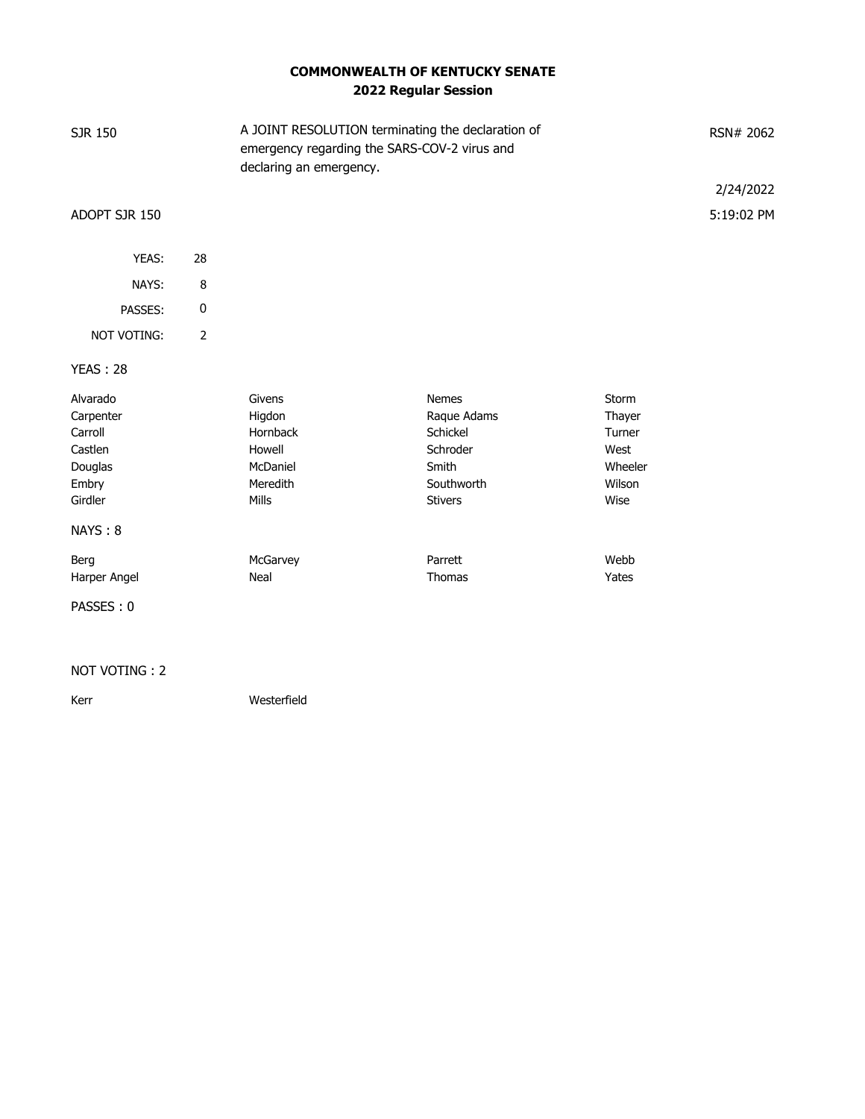## **COMMONWEALTH OF KENTUCKY SENATE 2022 Regular Session**

| SJR 150         |                | A JOINT RESOLUTION terminating the declaration of<br>emergency regarding the SARS-COV-2 virus and<br>declaring an emergency. |                |         | RSN# 2062  |
|-----------------|----------------|------------------------------------------------------------------------------------------------------------------------------|----------------|---------|------------|
|                 |                |                                                                                                                              |                |         | 2/24/2022  |
| ADOPT SJR 150   |                |                                                                                                                              |                |         | 5:19:02 PM |
| YEAS:           | 28             |                                                                                                                              |                |         |            |
| NAYS:           | 8              |                                                                                                                              |                |         |            |
| PASSES:         | 0              |                                                                                                                              |                |         |            |
| NOT VOTING:     | $\overline{2}$ |                                                                                                                              |                |         |            |
| <b>YEAS: 28</b> |                |                                                                                                                              |                |         |            |
| Alvarado        |                | Givens                                                                                                                       | <b>Nemes</b>   | Storm   |            |
| Carpenter       |                | Higdon                                                                                                                       | Raque Adams    | Thayer  |            |
| Carroll         |                | Hornback                                                                                                                     | Schickel       | Turner  |            |
| Castlen         |                | Howell                                                                                                                       | Schroder       | West    |            |
| Douglas         |                | McDaniel                                                                                                                     | Smith          | Wheeler |            |
| Embry           |                | Meredith                                                                                                                     | Southworth     | Wilson  |            |
| Girdler         |                | Mills                                                                                                                        | <b>Stivers</b> | Wise    |            |
| NAYS: 8         |                |                                                                                                                              |                |         |            |
| Berg            |                | McGarvey                                                                                                                     | Parrett        | Webb    |            |
| Harper Angel    |                | Neal                                                                                                                         | Thomas         | Yates   |            |
| PASSES: 0       |                |                                                                                                                              |                |         |            |

#### NOT VOTING : 2

Kerr Westerfield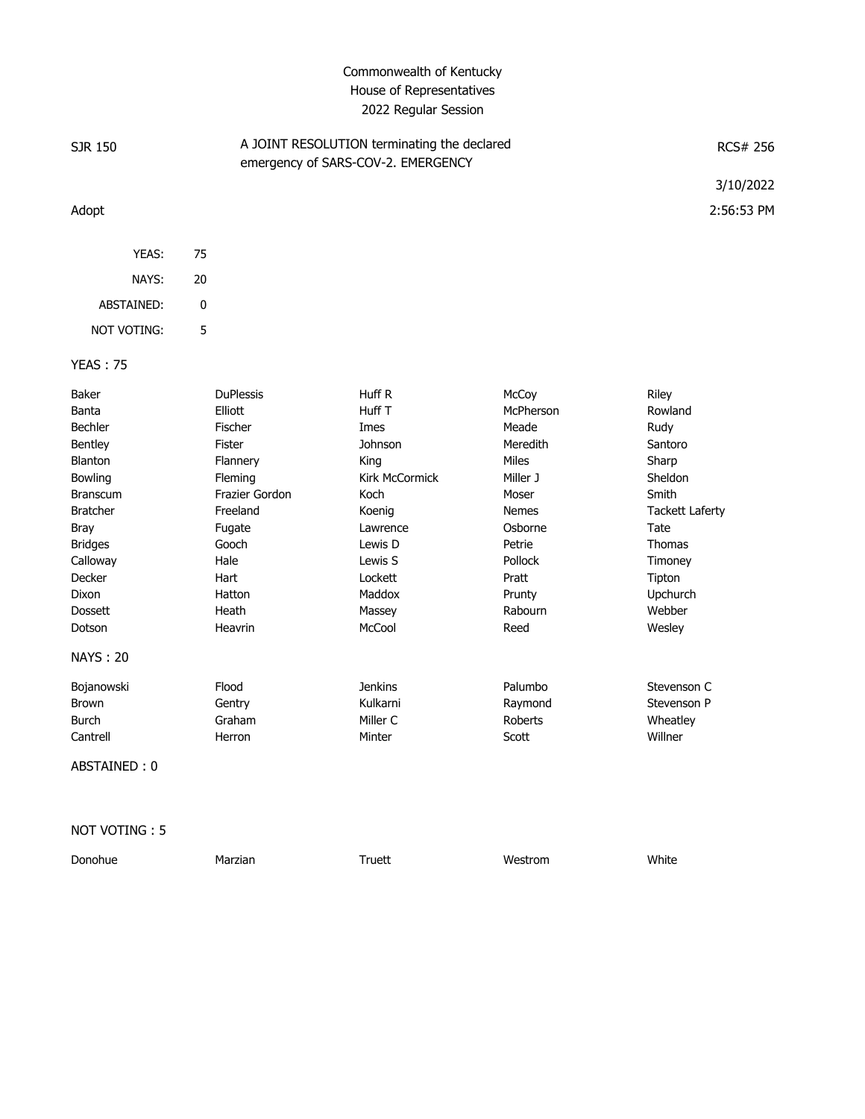### Commonwealth of Kentucky House of Representatives 2022 Regular Session

| SJR 150            |    | A JOINT RESOLUTION terminating the declared<br>emergency of SARS-COV-2. EMERGENCY | <b>RCS# 256</b> |
|--------------------|----|-----------------------------------------------------------------------------------|-----------------|
|                    |    |                                                                                   | 3/10/2022       |
| Adopt              |    |                                                                                   | 2:56:53 PM      |
| YEAS:              | 75 |                                                                                   |                 |
| NAYS:              | 20 |                                                                                   |                 |
| ABSTAINED:         | 0  |                                                                                   |                 |
| <b>NOT VOTING:</b> | 5  |                                                                                   |                 |
| <b>YEAS: 75</b>    |    |                                                                                   |                 |

Baker DuPlessis Huff R McCoy Riley Banta Elliott Huff T McPherson Rowland Bechler Fischer Imes Meade Rudy Bentley Fister Johnson Meredith Santoro Blanton Flannery King Miles Sharp Bowling **Fleming Fleming** Kirk McCormick Miller J Sheldon Branscum **Frazier Gordon** Koch Moser Moser Smith Bratcher **Freeland Freedand** Koenig **Nemes Tackett Laferty** Bray **Fugate Fugate Research Club Lawrence Communist Constant Constant Constant Constant Constant Constant** Bridges Gooch Lewis D Petrie Thomas Calloway Hale Lewis S Pollock Timoney Decker Hart Lockett Pratt Tipton Dixon Hatton Maddox Prunty Upchurch Dossett Heath Massey Rabourn Webber Dotson Heavrin McCool Reed Wesley NAYS : 20 Bojanowski Flood Jenkins Palumbo Stevenson C Brown Gentry Kulkarni Raymond Stevenson P Burch Graham Miller C Roberts Wheatley Cantrell Herron Minter Scott Willner

ABSTAINED : 0

NOT VOTING : 5

| Donohue | Marzian | Truett | Westrom | White |
|---------|---------|--------|---------|-------|
|         |         |        |         |       |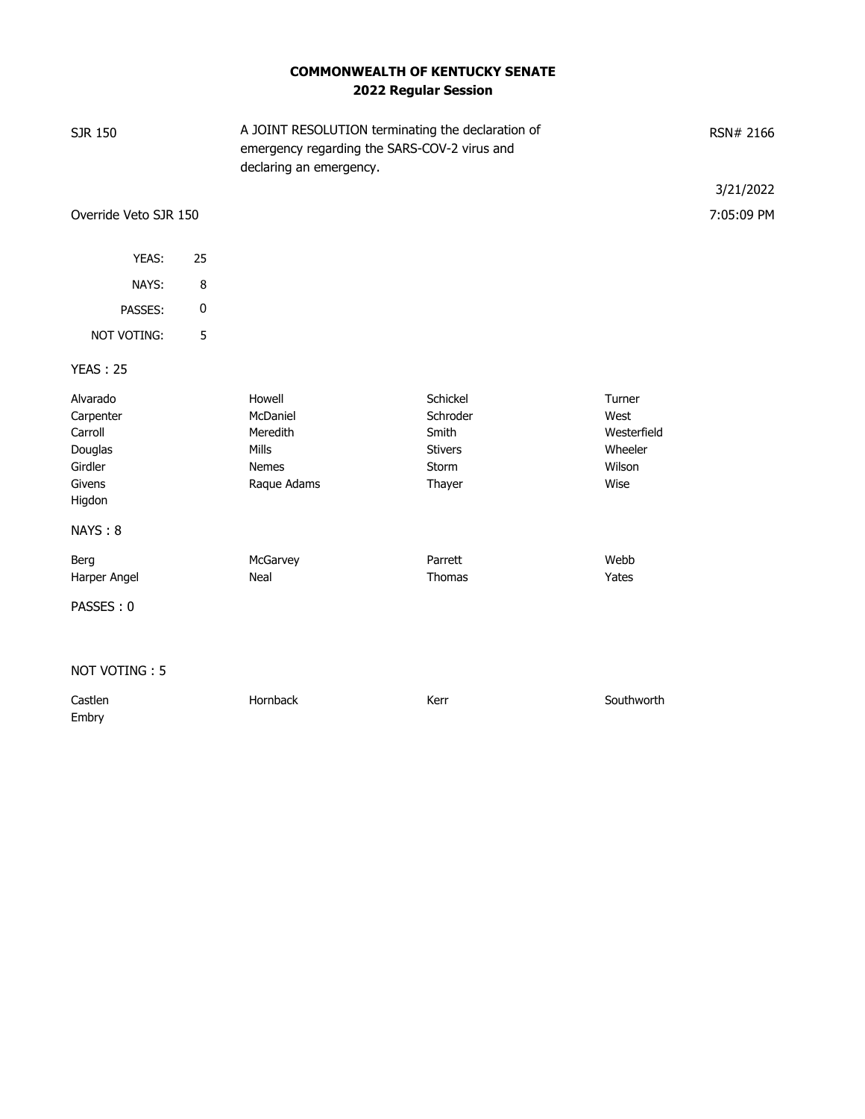## **COMMONWEALTH OF KENTUCKY SENATE 2022 Regular Session**

| <b>SJR 150</b>                                                             |    | A JOINT RESOLUTION terminating the declaration of<br>emergency regarding the SARS-COV-2 virus and<br>declaring an emergency. |                                                                    |                                                            | RSN# 2166  |  |
|----------------------------------------------------------------------------|----|------------------------------------------------------------------------------------------------------------------------------|--------------------------------------------------------------------|------------------------------------------------------------|------------|--|
|                                                                            |    |                                                                                                                              |                                                                    |                                                            | 3/21/2022  |  |
| Override Veto SJR 150                                                      |    |                                                                                                                              |                                                                    |                                                            | 7:05:09 PM |  |
| YEAS:                                                                      | 25 |                                                                                                                              |                                                                    |                                                            |            |  |
| NAYS:                                                                      | 8  |                                                                                                                              |                                                                    |                                                            |            |  |
|                                                                            |    |                                                                                                                              |                                                                    |                                                            |            |  |
| PASSES:                                                                    | 0  |                                                                                                                              |                                                                    |                                                            |            |  |
| NOT VOTING:                                                                | 5  |                                                                                                                              |                                                                    |                                                            |            |  |
| <b>YEAS: 25</b>                                                            |    |                                                                                                                              |                                                                    |                                                            |            |  |
| Alvarado<br>Carpenter<br>Carroll<br>Douglas<br>Girdler<br>Givens<br>Higdon |    | Howell<br>McDaniel<br>Meredith<br>Mills<br><b>Nemes</b><br>Raque Adams                                                       | Schickel<br>Schroder<br>Smith<br><b>Stivers</b><br>Storm<br>Thayer | Turner<br>West<br>Westerfield<br>Wheeler<br>Wilson<br>Wise |            |  |
| NAYS: 8                                                                    |    |                                                                                                                              |                                                                    |                                                            |            |  |
| Berg<br>Harper Angel                                                       |    | McGarvey<br>Neal                                                                                                             | Parrett<br>Thomas                                                  | Webb<br>Yates                                              |            |  |
| PASSES: 0                                                                  |    |                                                                                                                              |                                                                    |                                                            |            |  |
| NOT VOTING: 5                                                              |    |                                                                                                                              |                                                                    |                                                            |            |  |
| Castlen                                                                    |    | Hornback                                                                                                                     | Kerr                                                               | Southworth                                                 |            |  |

Embry